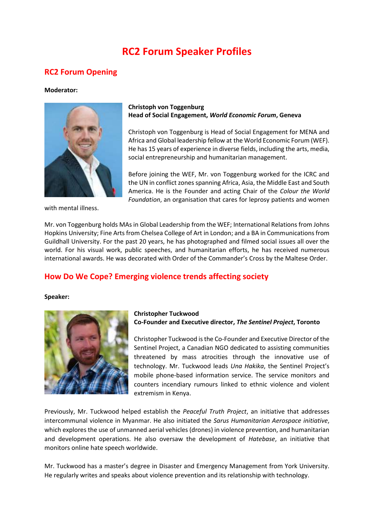# **RC2 Forum Speaker Profiles**

# **RC2 Forum Opening**

#### **Moderator:**



with mental illness.

## **Christoph von Toggenburg Head of Social Engagement,** *World Economic Forum***, Geneva**

Christoph von Toggenburg is Head of Social Engagement for MENA and Africa and Global leadership fellow at the World Economic Forum (WEF). He has 15 years of experience in diverse fields, including the arts, media, social entrepreneurship and humanitarian management.

Before joining the WEF, Mr. von Toggenburg worked for the ICRC and the UN in conflict zones spanning Africa, Asia, the Middle East and South America. He is the Founder and acting Chair of the *Colour the World Foundation*, an organisation that cares for leprosy patients and women

Mr. von Toggenburg holds MAs in Global Leadership from the WEF; International Relations from Johns Hopkins University; Fine Arts from Chelsea College of Art in London; and a BA in Communications from Guildhall University. For the past 20 years, he has photographed and filmed social issues all over the world. For his visual work, public speeches, and humanitarian efforts, he has received numerous international awards. He was decorated with Order of the Commander's Cross by the Maltese Order.

# **How Do We Cope? Emerging violence trends affecting society**

#### **Speaker:**



### **Christopher Tuckwood Co-Founder and Executive director,** *The Sentinel Project***, Toronto**

Christopher Tuckwood is the Co-Founder and Executive Director of the Sentinel Project, a Canadian NGO dedicated to assisting communities threatened by mass atrocities through the innovative use of technology. Mr. Tuckwood leads *Una Hakika*, the Sentinel Project's mobile phone-based information service. The service monitors and counters incendiary rumours linked to ethnic violence and violent extremism in Kenya.

Previously, Mr. Tuckwood helped establish the *Peaceful Truth Project*, an initiative that addresses intercommunal violence in Myanmar. He also initiated the *Sarus Humanitarian Aerospace initiative*, which explores the use of unmanned aerial vehicles (drones) in violence prevention, and humanitarian and development operations. He also oversaw the development of *Hatebase*, an initiative that monitors online hate speech worldwide.

Mr. Tuckwood has a master's degree in Disaster and Emergency Management from York University. He regularly writes and speaks about violence prevention and its relationship with technology.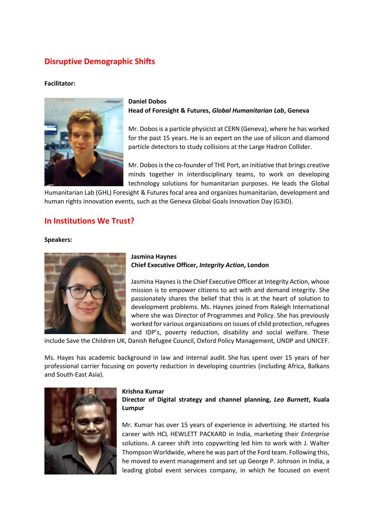# **Disruptive Demographic Shifts**

### **Facilitator:**



## **Daniel Dobos Head of Foresight & Futures,** *Global Humanitarian Lab***, Geneva**

Mr. Dobos is a particle physicist at CERN (Geneva), where he has worked for the past 15 years. He is an expert on the use of silicon and diamond particle detectors to study collisions at the Large Hadron Collider.

Mr. Dobos is the co-founder of THE Port, an initiative that brings creative minds together in interdisciplinary teams, to work on developing technology solutions for humanitarian purposes. He leads the Global

Humanitarian Lab (GHL) Foresight & Futures focal area and organizes humanitarian, development and human rights innovation events, such as the Geneva Global Goals Innovation Day (G3iD).

# **In Institutions We Trust?**

#### **Speakers:**



### **Jasmina Haynes Chief Executive Officer,** *Integrity Action***, London**

Jasmina Haynes is the Chief Executive Officer at Integrity Action, whose mission is to empower citizens to act with and demand integrity. She passionately shares the belief that this is at the heart of solution to development problems. Ms. Haynes joined from Raleigh International where she was Director of Programmes and Policy. She has previously worked for various organizations on issues of child protection, refugees and IDP's, poverty reduction, disability and social welfare. These

include Save the Children UK, Danish Refugee Council, Oxford Policy Management, UNDP and UNICEF.

Ms. Hayes has academic background in law and internal audit. She has spent over 15 years of her professional carrier focusing on poverty reduction in developing countries (including Africa, Balkans and South-East Asia).



#### **Krishna Kumar**

**Director of Digital strategy and channel planning,** *Leo Burnett***, Kuala Lumpur**

Mr. Kumar has over 15 years of experience in advertising. He started his career with HCL HEWLETT PACKARD in India, marketing their *Enterprise* solutions. A career shift into copywriting led him to work with J. Walter Thompson Worldwide, where he was part of the Ford team. Following this, he moved to event management and set up George P. Johnson in India, a leading global event services company, in which he focused on event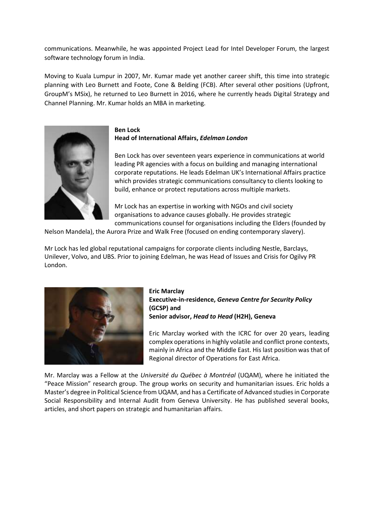communications. Meanwhile, he was appointed Project Lead for Intel Developer Forum, the largest software technology forum in India.

Moving to Kuala Lumpur in 2007, Mr. Kumar made yet another career shift, this time into strategic planning with Leo Burnett and Foote, Cone & Belding (FCB). After several other positions (Upfront, GroupM's MSix), he returned to Leo Burnett in 2016, where he currently heads Digital Strategy and Channel Planning. Mr. Kumar holds an MBA in marketing.



**Ben Lock Head of International Affairs,** *Edelman London*

Ben Lock has over seventeen years experience in communications at world leading PR agencies with a focus on building and managing international corporate reputations. He leads Edelman UK's International Affairs practice which provides strategic communications consultancy to clients looking to build, enhance or protect reputations across multiple markets.

Mr Lock has an expertise in working with NGOs and civil society organisations to advance causes globally. He provides strategic communications counsel for organisations including the Elders (founded by

Nelson Mandela), the Aurora Prize and Walk Free (focused on ending contemporary slavery).

Mr Lock has led global reputational campaigns for corporate clients including Nestle, Barclays, Unilever, Volvo, and UBS. Prior to joining Edelman, he was Head of Issues and Crisis for Ogilvy PR London.



**Eric Marclay Executive-in-residence,** *Geneva Centre for Security Policy* **(GCSP) and Senior advisor,** *Head to Head* **(H2H), Geneva**

Eric Marclay worked with the ICRC for over 20 years, leading complex operations in highly volatile and conflict prone contexts, mainly in Africa and the Middle East. His last position was that of Regional director of Operations for East Africa.

Mr. Marclay was a Fellow at the *Université du Québec à Montréal* (UQAM), where he initiated the "Peace Mission" research group. The group works on security and humanitarian issues. Eric holds a Master's degree in Political Science from UQAM, and has a Certificate of Advanced studies in Corporate Social Responsibility and Internal Audit from Geneva University. He has published several books, articles, and short papers on strategic and humanitarian affairs.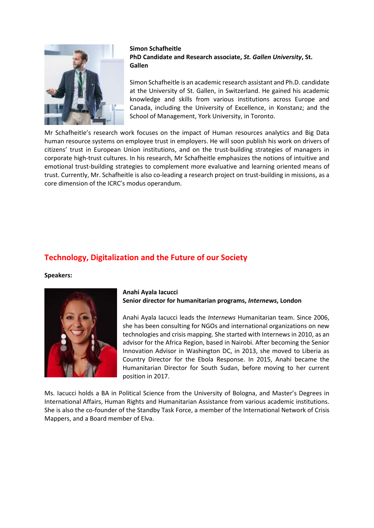

### **Simon Schafheitle PhD Candidate and Research associate,** *St. Gallen University***, St. Gallen**

Simon Schafheitle is an academic research assistant and Ph.D. candidate at the University of St. Gallen, in Switzerland. He gained his academic knowledge and skills from various institutions across Europe and Canada, including the University of Excellence, in Konstanz; and the School of Management, York University, in Toronto.

Mr Schafheitle's research work focuses on the impact of Human resources analytics and Big Data human resource systems on employee trust in employers. He will soon publish his work on drivers of citizens' trust in European Union institutions, and on the trust-building strategies of managers in corporate high-trust cultures. In his research, Mr Schafheitle emphasizes the notions of intuitive and emotional trust-building strategies to complement more evaluative and learning oriented means of trust. Currently, Mr. Schafheitle is also co-leading a research project on trust-building in missions, as a core dimension of the ICRC's modus operandum.

# **Technology, Digitalization and the Future of our Society**

**Speakers:**



#### **Anahi Ayala Iacucci Senior director for humanitarian programs,** *Internews***, London**

Anahi Ayala Iacucci leads the *Internews* Humanitarian team. Since 2006, she has been consulting for NGOs and international organizations on new technologies and crisis mapping. She started with Internews in 2010, as an advisor for the Africa Region, based in Nairobi. After becoming the Senior Innovation Advisor in Washington DC, in 2013, she moved to Liberia as Country Director for the Ebola Response. In 2015, Anahi became the Humanitarian Director for South Sudan, before moving to her current position in 2017.

Ms. Iacucci holds a BA in Political Science from the University of Bologna, and Master's Degrees in International Affairs, Human Rights and Humanitarian Assistance from various academic institutions. She is also the co-founder of the Standby Task Force, a member of the International Network of Crisis Mappers, and a Board member of Elva.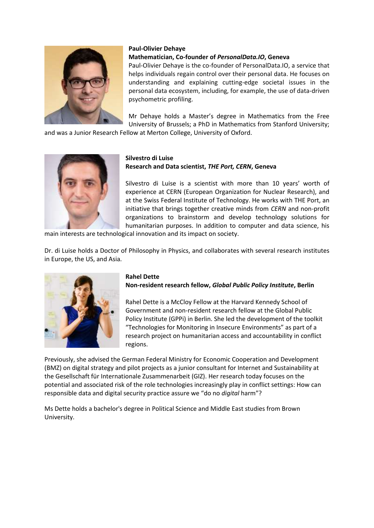

### **Paul-Olivier Dehaye**

### **Mathematician, Co-founder of** *PersonalData.IO***, Geneva**

Paul-Olivier Dehaye is the co-founder of PersonalData.IO, a service that helps individuals regain control over their personal data. He focuses on understanding and explaining cutting-edge societal issues in the personal data ecosystem, including, for example, the use of data-driven psychometric profiling.

Mr Dehaye holds a Master's degree in Mathematics from the Free University of Brussels; a PhD in Mathematics from Stanford University;

and was a Junior Research Fellow at Merton College, University of Oxford.



#### **Silvestro di Luise Research and Data scientist,** *THE Port, CERN***, Geneva**

Silvestro di Luise is a scientist with more than 10 years' worth of experience at CERN (European Organization for Nuclear Research), and at the Swiss Federal Institute of Technology. He works with THE Port, an initiative that brings together creative minds from *CERN* and non-profit organizations to brainstorm and develop technology solutions for humanitarian purposes. In addition to computer and data science, his

main interests are technological innovation and its impact on society.

Dr. di Luise holds a Doctor of Philosophy in Physics, and collaborates with several research institutes in Europe, the US, and Asia.



# **Rahel Dette**

# **Non-resident research fellow,** *Global Public Policy Institute***, Berlin**

Rahel Dette is a McCloy Fellow at the Harvard Kennedy School of Government and non-resident research fellow at the Global Public Policy Institute (GPPi) in Berlin. She led the development of the toolkit "Technologies for Monitoring in Insecure Environments" as part of a research project on humanitarian access and accountability in conflict regions.

Previously, she advised the German Federal Ministry for Economic Cooperation and Development (BMZ) on digital strategy and pilot projects as a junior consultant for Internet and Sustainability at the Gesellschaft für Internationale Zusammenarbeit (GIZ). Her research today focuses on the potential and associated risk of the role technologies increasingly play in conflict settings: How can responsible data and digital security practice assure we "do no *digital* harm"?

Ms Dette holds a bachelor's degree in Political Science and Middle East studies from Brown University.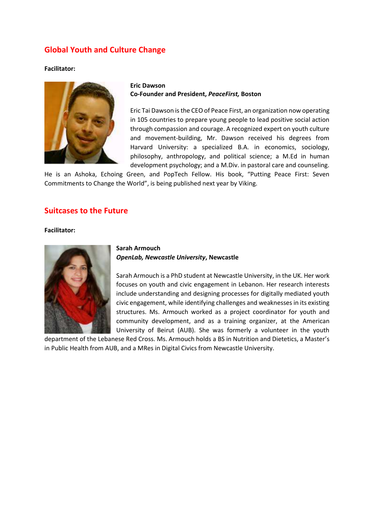# **Global Youth and Culture Change**

#### **Facilitator:**



### **Eric Dawson Co-Founder and President,** *PeaceFirst,* **Boston**

Eric Tai Dawson is the CEO of Peace First, an organization now operating in 105 countries to prepare young people to lead positive social action through compassion and courage. A recognized expert on youth culture and movement-building, Mr. Dawson received his degrees from Harvard University: a specialized B.A. in economics, sociology, philosophy, anthropology, and political science; a M.Ed in human development psychology; and a M.Div. in pastoral care and counseling.

He is an Ashoka, Echoing Green, and PopTech Fellow. His book, "Putting Peace First: Seven Commitments to Change the World", is being published next year by Viking.

## **Suitcases to the Future**

#### **Facilitator:**



### **Sarah Armouch** *OpenLab, Newcastle University***, Newcastle**

Sarah Armouch is a PhD student at Newcastle University, in the UK. Her work focuses on youth and civic engagement in Lebanon. Her research interests include understanding and designing processes for digitally mediated youth civic engagement, while identifying challenges and weaknesses in its existing structures. Ms. Armouch worked as a project coordinator for youth and community development, and as a training organizer, at the American University of Beirut (AUB). She was formerly a volunteer in the youth

department of the Lebanese Red Cross. Ms. Armouch holds a BS in Nutrition and Dietetics, a Master's in Public Health from AUB, and a MRes in Digital Civics from Newcastle University.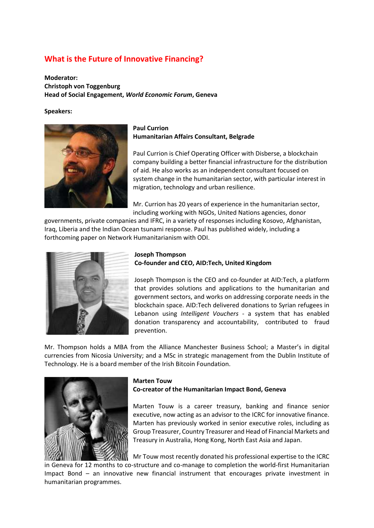# **What is the Future of Innovative Financing?**

**Moderator: Christoph von Toggenburg Head of Social Engagement,** *World Economic Forum***, Geneva**

**Speakers:**



### **Paul Currion Humanitarian Affairs Consultant, Belgrade**

Paul Currion is Chief Operating Officer with Disberse, a blockchain company building a better financial infrastructure for the distribution of aid. He also works as an independent consultant focused on system change in the humanitarian sector, with particular interest in migration, technology and urban resilience.

Mr. Currion has 20 years of experience in the humanitarian sector, including working with NGOs, United Nations agencies, donor

governments, private companies and IFRC, in a variety of responses including Kosovo, Afghanistan, Iraq, Liberia and the Indian Ocean tsunami response. Paul has published widely, including a forthcoming paper on Network Humanitarianism with ODI.



### **Joseph Thompson Co-founder and CEO, AID:Tech, United Kingdom**

Joseph Thompson is the CEO and co-founder at AID:Tech, a platform that provides solutions and applications to the humanitarian and government sectors, and works on addressing corporate needs in the blockchain space. AID:Tech delivered donations to Syrian refugees in Lebanon using *Intelligent Vouchers* - a system that has enabled donation transparency and accountability, contributed to fraud prevention.

Mr. Thompson holds a MBA from the Alliance Manchester Business School; a Master's in digital currencies from Nicosia University; and a MSc in strategic management from the Dublin Institute of Technology. He is a board member of the Irish Bitcoin Foundation.



### **Marten Touw**

### **Co-creator of the Humanitarian Impact Bond, Geneva**

Marten Touw is a career treasury, banking and finance senior executive, now acting as an advisor to the ICRC for innovative finance. Marten has previously worked in senior executive roles, including as Group Treasurer, Country Treasurer and Head of Financial Markets and Treasury in Australia, Hong Kong, North East Asia and Japan.

Mr Touw most recently donated his professional expertise to the ICRC

in Geneva for 12 months to co-structure and co-manage to completion the world-first Humanitarian Impact Bond – an innovative new financial instrument that encourages private investment in humanitarian programmes.